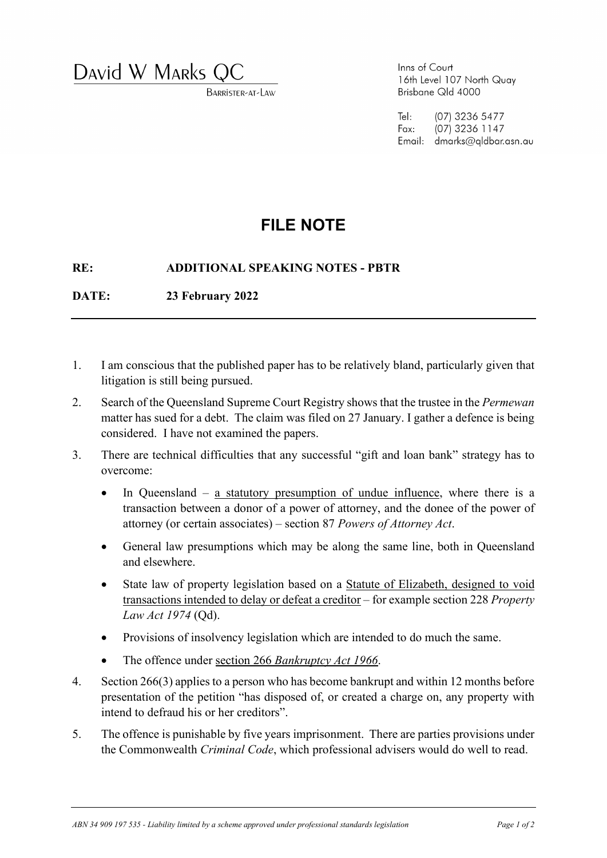David W MARKS (

BARRISTER-AT-LAW

Inns of Court 16th Level 107 North Quay Brisbane Qld 4000

 $TeI:$ (07) 3236 5477 Fax: (07) 3236 1147 Email: dmarks@aldbar.asn.au

## **FILE NOTE**

## **RE: ADDITIONAL SPEAKING NOTES - PBTR**

**DATE: 23 February 2022**

- 1. I am conscious that the published paper has to be relatively bland, particularly given that litigation is still being pursued.
- 2. Search of the Queensland Supreme Court Registry shows that the trustee in the *Permewan* matter has sued for a debt. The claim was filed on 27 January. I gather a defence is being considered. I have not examined the papers.
- 3. There are technical difficulties that any successful "gift and loan bank" strategy has to overcome:
	- In Queensland a statutory presumption of undue influence, where there is a transaction between a donor of a power of attorney, and the donee of the power of attorney (or certain associates) – section 87 *Powers of Attorney Act*.
	- General law presumptions which may be along the same line, both in Queensland and elsewhere.
	- State law of property legislation based on a Statute of Elizabeth, designed to void transactions intended to delay or defeat a creditor – for example section 228 *Property Law Act 1974* (Qd).
	- Provisions of insolvency legislation which are intended to do much the same.
	- The offence under section 266 *Bankruptcy Act 1966*.
- 4. Section 266(3) applies to a person who has become bankrupt and within 12 months before presentation of the petition "has disposed of, or created a charge on, any property with intend to defraud his or her creditors".
- 5. The offence is punishable by five years imprisonment. There are parties provisions under the Commonwealth *Criminal Code*, which professional advisers would do well to read.